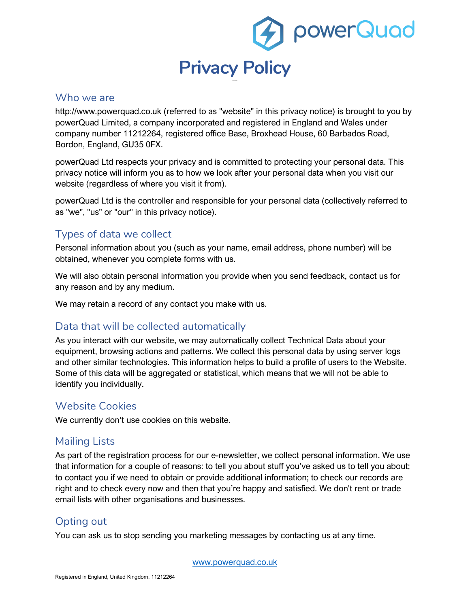

### Who we are

http://www.powerquad.co.uk (referred to as "website" in this privacy notice) is brought to you by powerQuad Limited, a company incorporated and registered in England and Wales under company number 11212264, registered office Base, Broxhead House, 60 Barbados Road, Bordon, England, GU35 0FX.

powerQuad Ltd respects your privacy and is committed to protecting your personal data. This privacy notice will inform you as to how we look after your personal data when you visit our website (regardless of where you visit it from).

powerQuad Ltd is the controller and responsible for your personal data (collectively referred to as "we", "us" or "our" in this privacy notice).

# Types of data we collect

Personal information about you (such as your name, email address, phone number) will be obtained, whenever you complete forms with us.

We will also obtain personal information you provide when you send feedback, contact us for any reason and by any medium.

We may retain a record of any contact you make with us.

## Data that will be collected automatically

As you interact with our website, we may automatically collect Technical Data about your equipment, browsing actions and patterns. We collect this personal data by using server logs and other similar technologies. This information helps to build a profile of users to the Website. Some of this data will be aggregated or statistical, which means that we will not be able to identify you individually.

## Website Cookies

We currently don't use cookies on this website.

## Mailing Lists

As part of the registration process for our e-newsletter, we collect personal information. We use that information for a couple of reasons: to tell you about stuff you've asked us to tell you about; to contact you if we need to obtain or provide additional information; to check our records are right and to check every now and then that you're happy and satisfied. We don't rent or trade email lists with other organisations and businesses.

## Opting out

You can ask us to stop sending you marketing messages by contacting us at any time.